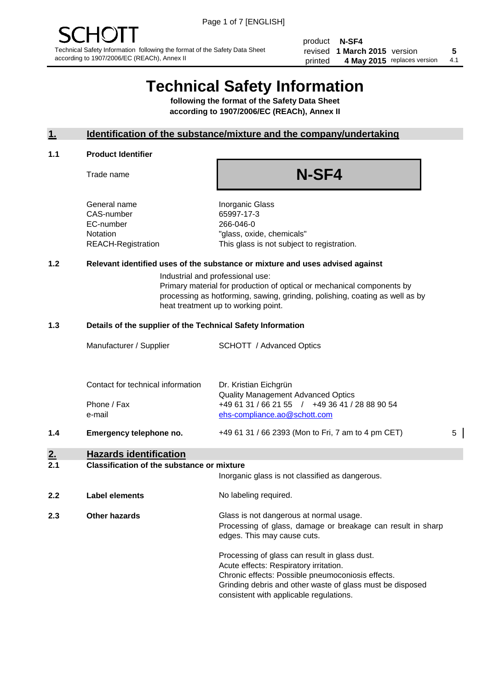product **N-SF4** revised **5 1 March 2015** version printed 4 May 2015 replaces version 4.1

# **Technical Safety Information**

**following the format of the Safety Data Sheet according to 1907/2006/EC (REACh), Annex II**

#### **1. Identification of the substance/mixture and the company/undertaking**

#### **1.1 Product Identifier**

Trade name

## **N-SF4**

General name **Inorganic Glass** CAS-number 65997-17-3 EC-number 266-046-0

Notation "glass, oxide, chemicals" REACH-Registration This glass is not subject to registration.

#### **1.2 Relevant identified uses of the substance or mixture and uses advised against**

Industrial and professional use: Primary material for production of optical or mechanical components by processing as hotforming, sawing, grinding, polishing, coating as well as by heat treatment up to working point.

#### **1.3 Details of the supplier of the Technical Safety Information**

|     | Manufacturer / Supplier           | <b>SCHOTT</b> / Advanced Optics                                    |   |
|-----|-----------------------------------|--------------------------------------------------------------------|---|
|     |                                   |                                                                    |   |
|     | Contact for technical information | Dr. Kristian Eichgrün<br><b>Quality Management Advanced Optics</b> |   |
|     | Phone / Fax                       | +49 61 31 / 66 21 55 / +49 36 41 / 28 88 90 54                     |   |
|     | e-mail                            | ehs-compliance.ao@schott.com                                       |   |
| 1.4 | Emergency telephone no.           | +49 61 31 / 66 2393 (Mon to Fri, 7 am to 4 pm CET)                 | 5 |
|     |                                   |                                                                    |   |

## **2. Hazards identification**

#### **2.1 Classification of the substance or mixture**

|     |                | Inorganic glass is not classified as dangerous.                                                                                                                                                           |
|-----|----------------|-----------------------------------------------------------------------------------------------------------------------------------------------------------------------------------------------------------|
| 2.2 | Label elements | No labeling required.                                                                                                                                                                                     |
| 2.3 | Other hazards  | Glass is not dangerous at normal usage.<br>Processing of glass, damage or breakage can result in sharp<br>edges. This may cause cuts.                                                                     |
|     |                | Processing of glass can result in glass dust.<br>Acute effects: Respiratory irritation.<br>Chronic effects: Possible pneumoconiosis effects.<br>Grinding debris and other waste of glass must be disposed |

consistent with applicable regulations.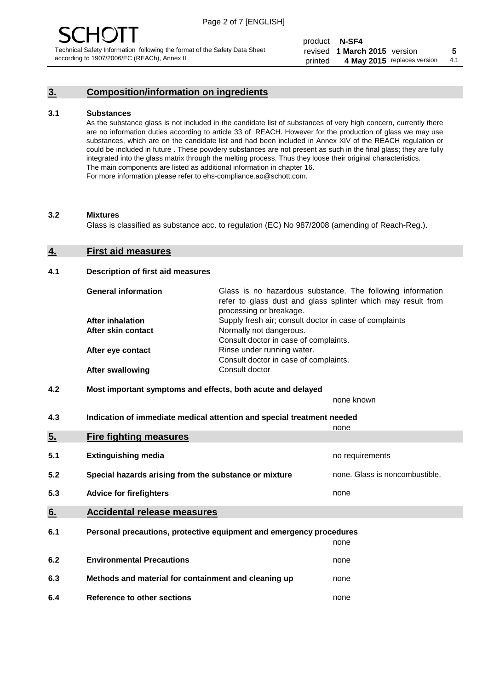### **3. Composition/information on ingredients**

#### **3.1 Substances**

As the substance glass is not included in the candidate list of substances of very high concern, currently there are no information duties according to article 33 of REACH. However for the production of glass we may use substances, which are on the candidate list and had been included in Annex XIV of the REACH regulation or could be included in future . These powdery substances are not present as such in the final glass; they are fully integrated into the glass matrix through the melting process. Thus they loose their original characteristics. The main components are listed as additional information in chapter 16. For more information please refer to ehs-compliance.ao@schott.com.

#### **3.2 Mixtures**

Glass is classified as substance acc. to regulation (EC) No 987/2008 (amending of Reach-Reg.).

#### **4. First aid measures**

#### **4.1 Description of first aid measures**

| <b>General information</b> | Glass is no hazardous substance. The following information<br>refer to glass dust and glass splinter which may result from<br>processing or breakage. |
|----------------------------|-------------------------------------------------------------------------------------------------------------------------------------------------------|
| <b>After inhalation</b>    | Supply fresh air; consult doctor in case of complaints                                                                                                |
| After skin contact         | Normally not dangerous.                                                                                                                               |
|                            | Consult doctor in case of complaints.                                                                                                                 |
| After eye contact          | Rinse under running water.                                                                                                                            |
|                            | Consult doctor in case of complaints.                                                                                                                 |
| <b>After swallowing</b>    | Consult doctor                                                                                                                                        |

#### **4.2 Most important symptoms and effects, both acute and delayed**

none known

**4.3 Indication of immediate medical attention and special treatment needed** 

|     |                                                                     | none                           |
|-----|---------------------------------------------------------------------|--------------------------------|
| 5.  | <b>Fire fighting measures</b>                                       |                                |
| 5.1 | <b>Extinguishing media</b>                                          | no requirements                |
| 5.2 | Special hazards arising from the substance or mixture               | none. Glass is noncombustible. |
| 5.3 | <b>Advice for firefighters</b>                                      | none                           |
| 6.  | <b>Accidental release measures</b>                                  |                                |
| 6.1 | Personal precautions, protective equipment and emergency procedures |                                |
|     |                                                                     | none                           |
| 6.2 | <b>Environmental Precautions</b>                                    | none                           |
| 6.3 | Methods and material for containment and cleaning up                | none                           |
| 6.4 | Reference to other sections                                         | none                           |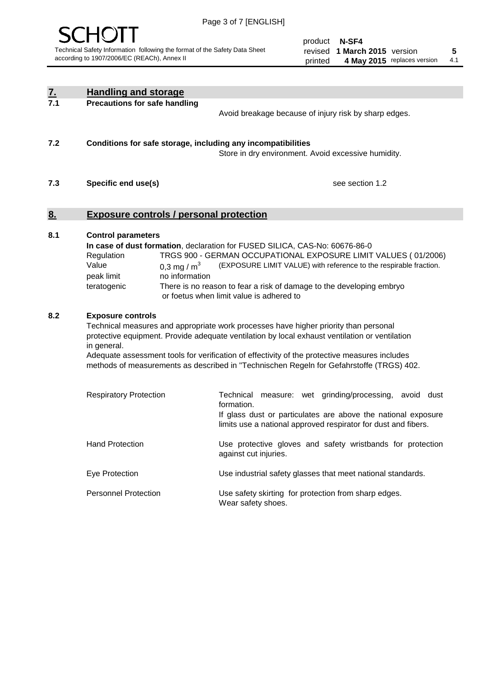

product **N-SF4** revised **5 1 March 2015** version printed 4 May 2015 replaces version 4.1

| $\underline{\mathbf{7}}$ . | <b>Handling and storage</b>                                                                                                                                                                                                                                                                                                                                                                                                                                                                                                                                                                                                                                                |                                                                                                                                                                                                                                                                                                                                        |  |  |
|----------------------------|----------------------------------------------------------------------------------------------------------------------------------------------------------------------------------------------------------------------------------------------------------------------------------------------------------------------------------------------------------------------------------------------------------------------------------------------------------------------------------------------------------------------------------------------------------------------------------------------------------------------------------------------------------------------------|----------------------------------------------------------------------------------------------------------------------------------------------------------------------------------------------------------------------------------------------------------------------------------------------------------------------------------------|--|--|
| 7.1                        | <b>Precautions for safe handling</b>                                                                                                                                                                                                                                                                                                                                                                                                                                                                                                                                                                                                                                       | Avoid breakage because of injury risk by sharp edges.                                                                                                                                                                                                                                                                                  |  |  |
| 7.2                        | Conditions for safe storage, including any incompatibilities<br>Store in dry environment. Avoid excessive humidity.                                                                                                                                                                                                                                                                                                                                                                                                                                                                                                                                                        |                                                                                                                                                                                                                                                                                                                                        |  |  |
| 7.3                        | Specific end use(s)                                                                                                                                                                                                                                                                                                                                                                                                                                                                                                                                                                                                                                                        | see section 1.2                                                                                                                                                                                                                                                                                                                        |  |  |
| <u>8.</u>                  | <b>Exposure controls / personal protection</b>                                                                                                                                                                                                                                                                                                                                                                                                                                                                                                                                                                                                                             |                                                                                                                                                                                                                                                                                                                                        |  |  |
| 8.1                        | <b>Control parameters</b><br>Regulation<br>Value<br>0,3 mg / $m3$<br>peak limit<br>no information<br>teratogenic                                                                                                                                                                                                                                                                                                                                                                                                                                                                                                                                                           | In case of dust formation, declaration for FUSED SILICA, CAS-No: 60676-86-0<br>TRGS 900 - GERMAN OCCUPATIONAL EXPOSURE LIMIT VALUES (01/2006)<br>(EXPOSURE LIMIT VALUE) with reference to the respirable fraction.<br>There is no reason to fear a risk of damage to the developing embryo<br>or foetus when limit value is adhered to |  |  |
| 8.2                        | <b>Exposure controls</b><br>Technical measures and appropriate work processes have higher priority than personal<br>protective equipment. Provide adequate ventilation by local exhaust ventilation or ventilation<br>in general.<br>Adequate assessment tools for verification of effectivity of the protective measures includes<br>methods of measurements as described in "Technischen Regeln for Gefahrstoffe (TRGS) 402.<br>Technical measure: wet grinding/processing, avoid dust<br><b>Respiratory Protection</b><br>formation.<br>If glass dust or particulates are above the national exposure<br>limits use a national approved respirator for dust and fibers. |                                                                                                                                                                                                                                                                                                                                        |  |  |
|                            | <b>Hand Protection</b>                                                                                                                                                                                                                                                                                                                                                                                                                                                                                                                                                                                                                                                     | Use protective gloves and safety wristbands for protection<br>against cut injuries.                                                                                                                                                                                                                                                    |  |  |
|                            | Eye Protection                                                                                                                                                                                                                                                                                                                                                                                                                                                                                                                                                                                                                                                             | Use industrial safety glasses that meet national standards.                                                                                                                                                                                                                                                                            |  |  |
|                            | <b>Personnel Protection</b>                                                                                                                                                                                                                                                                                                                                                                                                                                                                                                                                                                                                                                                | Use safety skirting for protection from sharp edges.<br>Wear safety shoes.                                                                                                                                                                                                                                                             |  |  |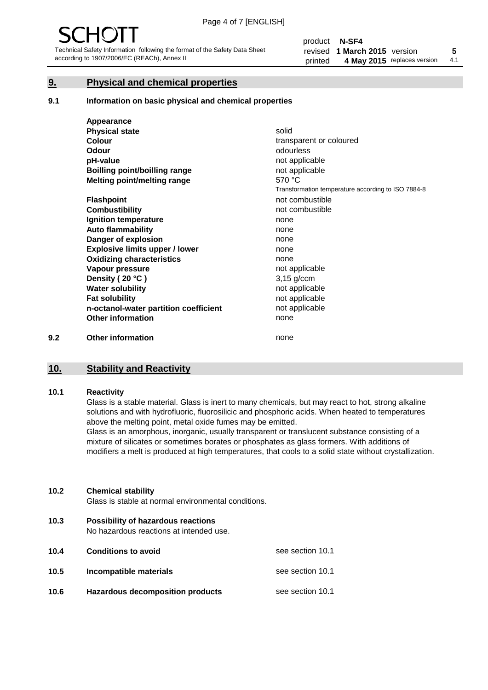#### **9. Physical and chemical properties**

#### **9.1 Information on basic physical and chemical properties**

|     | Appearance                            |                                                    |
|-----|---------------------------------------|----------------------------------------------------|
|     | <b>Physical state</b>                 | solid                                              |
|     | <b>Colour</b>                         | transparent or coloured                            |
|     | Odour                                 | odourless                                          |
|     | pH-value                              | not applicable                                     |
|     | <b>Boilling point/boilling range</b>  | not applicable                                     |
|     | Melting point/melting range           | 570 °C                                             |
|     |                                       | Transformation temperature according to ISO 7884-8 |
|     | <b>Flashpoint</b>                     | not combustible                                    |
|     | <b>Combustibility</b>                 | not combustible                                    |
|     | Ignition temperature                  | none                                               |
|     | <b>Auto flammability</b>              | none                                               |
|     | Danger of explosion                   | none                                               |
|     | <b>Explosive limits upper / lower</b> | none                                               |
|     | <b>Oxidizing characteristics</b>      | none                                               |
|     | Vapour pressure                       | not applicable                                     |
|     | Density (20 °C)                       | $3,15$ g/ccm                                       |
|     | <b>Water solubility</b>               | not applicable                                     |
|     | <b>Fat solubility</b>                 | not applicable                                     |
|     | n-octanol-water partition coefficient | not applicable                                     |
|     | <b>Other information</b>              | none                                               |
| 9.2 | <b>Other information</b>              | none                                               |

#### **10. Stability and Reactivity**

#### **10.1 Reactivity**

Glass is a stable material. Glass is inert to many chemicals, but may react to hot, strong alkaline solutions and with hydrofluoric, fluorosilicic and phosphoric acids. When heated to temperatures above the melting point, metal oxide fumes may be emitted.

Glass is an amorphous, inorganic, usually transparent or translucent substance consisting of a mixture of silicates or sometimes borates or phosphates as glass formers. With additions of modifiers a melt is produced at high temperatures, that cools to a solid state without crystallization.

#### **10.2 Chemical stability**

Glass is stable at normal environmental conditions.

**10.3 Possibility of hazardous reactions** 

No hazardous reactions at intended use.

| 10.4 | <b>Conditions to avoid</b>              | see section 10.1 |
|------|-----------------------------------------|------------------|
| 10.5 | Incompatible materials                  | see section 10.1 |
| 10.6 | <b>Hazardous decomposition products</b> | see section 10.1 |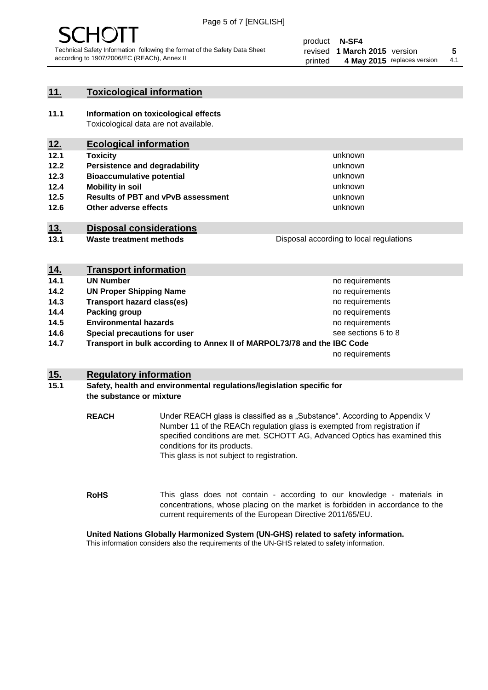

#### **11. Toxicological information**

**11.1 Information on toxicological effects** Toxicological data are not available.

#### **12. Ecological information**

- **12.1 Toxicity**
- **12.2 Persistence and degradability**
- **12.3 Bioaccumulative potential**
- **12.4 Mobility in soil**
- **12.5 Results of PBT and vPvB assessment**
- **12.6 Other adverse effects**

#### **13. Disposal considerations**

**13.1 Waste treatment methods**

Disposal according to local regulations

unknown unknown unknown unknown

unknown unknown

| <u>14.</u> | <b>Transport information</b>                                            |                     |
|------------|-------------------------------------------------------------------------|---------------------|
| 14.1       | <b>UN Number</b>                                                        | no requirements     |
| 14.2       | <b>UN Proper Shipping Name</b>                                          | no requirements     |
| 14.3       | <b>Transport hazard class(es)</b>                                       | no requirements     |
| 14.4       | Packing group                                                           | no requirements     |
| 14.5       | <b>Environmental hazards</b>                                            | no requirements     |
| 14.6       | Special precautions for user                                            | see sections 6 to 8 |
| 14.7       | Transport in bulk according to Annex II of MARPOL73/78 and the IBC Code |                     |
|            |                                                                         | no requirements     |

#### **15. Regulatory information**

#### **15.1 Safety, health and environmental regulations/legislation specific for the substance or mixture**

**REACH** Under REACH glass is classified as a "Substance". According to Appendix V Number 11 of the REACh regulation glass is exempted from registration if specified conditions are met. SCHOTT AG, Advanced Optics has examined this conditions for its products. This glass is not subject to registration.

**RoHS** This glass does not contain - according to our knowledge - materials in concentrations, whose placing on the market is forbidden in accordance to the current requirements of the European Directive 2011/65/EU.

#### **United Nations Globally Harmonized System (UN-GHS) related to safety information.**

This information considers also the requirements of the UN-GHS related to safety information.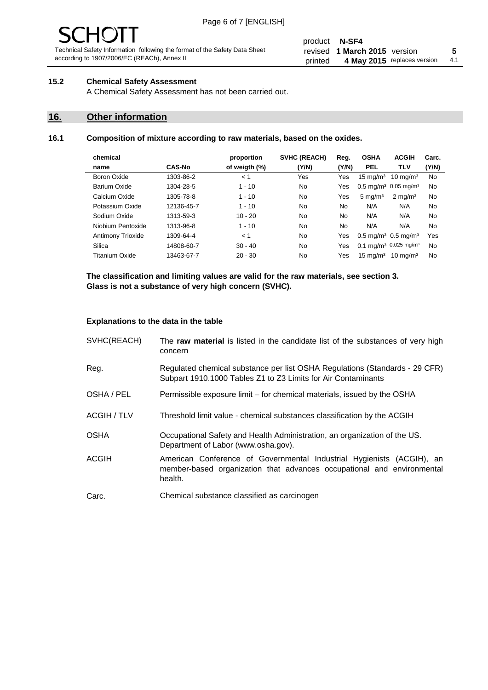# - JF

Technical Safety Information following the format of the Safety Data Sheet according to 1907/2006/EC (REACh), Annex II

#### product **N-SF4** revised **5 1 March 2015** version printed 4 May 2015 replaces version 4.1

#### **15.2 Chemical Safety Assessment**

A Chemical Safety Assessment has not been carried out.

#### **16. Other information**

#### **16.1 Composition of mixture according to raw materials, based on the oxides.**

|               | proportion    | <b>SVHC (REACH)</b> | Reg.  | <b>OSHA</b>         | <b>ACGIH</b>        | Carc.                                                                                                                                        |
|---------------|---------------|---------------------|-------|---------------------|---------------------|----------------------------------------------------------------------------------------------------------------------------------------------|
| <b>CAS-No</b> | of weigth (%) | (Y/N)               | (Y/N) | <b>PEL</b>          | <b>TLV</b>          | (Y/N)                                                                                                                                        |
| 1303-86-2     | < 1           | Yes                 | Yes   | $15 \text{ mg/m}^3$ | $10 \text{ ma/m}^3$ | No                                                                                                                                           |
| 1304-28-5     | $1 - 10$      | No                  | Yes   |                     |                     | No                                                                                                                                           |
| 1305-78-8     | $1 - 10$      | No.                 | Yes   | $5 \text{ mg/m}^3$  | $2 \text{ mg/m}^3$  | No                                                                                                                                           |
| 12136-45-7    | $1 - 10$      | No                  | No.   | N/A                 | N/A                 | No                                                                                                                                           |
| 1313-59-3     | $10 - 20$     | No                  | No.   | N/A                 | N/A                 | No                                                                                                                                           |
| 1313-96-8     | $1 - 10$      | No.                 | No    | N/A                 | N/A                 | No                                                                                                                                           |
| 1309-64-4     | < 1           | No.                 | Yes   |                     |                     | Yes                                                                                                                                          |
| 14808-60-7    | $30 - 40$     | No.                 | Yes   |                     |                     | No                                                                                                                                           |
| 13463-67-7    | $20 - 30$     | No                  | Yes   | $15 \text{ mg/m}^3$ | $10 \text{ ma/m}^3$ | No                                                                                                                                           |
|               |               |                     |       |                     |                     | $0.5 \text{ mg/m}^3$ 0.05 mg/m <sup>3</sup><br>$0.5 \,\mathrm{mq/m^3}$ 0.5 mg/m <sup>3</sup><br>$0.1 \text{ mg/m}^3$ 0.025 mg/m <sup>3</sup> |

**The classification and limiting values are valid for the raw materials, see section 3. Glass is not a substance of very high concern (SVHC).**

#### **Explanations to the data in the table**

| SVHC(REACH)        | The raw material is listed in the candidate list of the substances of very high<br>concern                                                                 |
|--------------------|------------------------------------------------------------------------------------------------------------------------------------------------------------|
| Reg.               | Regulated chemical substance per list OSHA Regulations (Standards - 29 CFR)<br>Subpart 1910.1000 Tables Z1 to Z3 Limits for Air Contaminants               |
| OSHA / PEL         | Permissible exposure limit – for chemical materials, issued by the OSHA                                                                                    |
| <b>ACGIH / TLV</b> | Threshold limit value - chemical substances classification by the ACGIH                                                                                    |
| <b>OSHA</b>        | Occupational Safety and Health Administration, an organization of the US.<br>Department of Labor (www.osha.gov).                                           |
| ACGIH              | American Conference of Governmental Industrial Hygienists (ACGIH), an<br>member-based organization that advances occupational and environmental<br>health. |
| Carc.              | Chemical substance classified as carcinogen                                                                                                                |